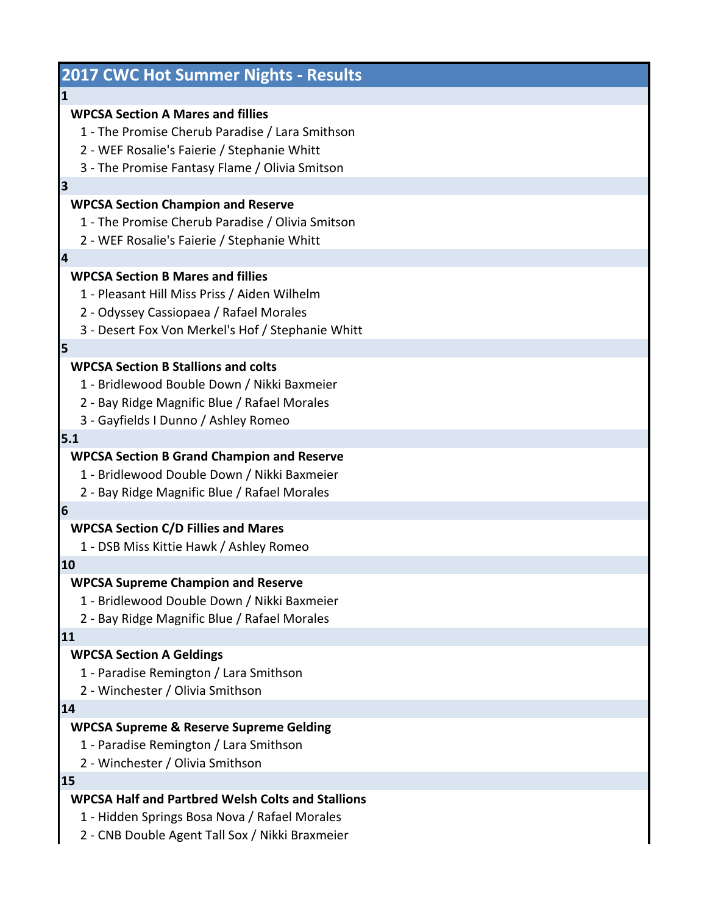| <b>2017 CWC Hot Summer Nights - Results</b>                                                                                                                                                  |
|----------------------------------------------------------------------------------------------------------------------------------------------------------------------------------------------|
| $\mathbf{1}$                                                                                                                                                                                 |
| <b>WPCSA Section A Mares and fillies</b><br>1 - The Promise Cherub Paradise / Lara Smithson<br>2 - WEF Rosalie's Faierie / Stephanie Whitt<br>3 - The Promise Fantasy Flame / Olivia Smitson |
| 3                                                                                                                                                                                            |
| <b>WPCSA Section Champion and Reserve</b><br>1 - The Promise Cherub Paradise / Olivia Smitson<br>2 - WEF Rosalie's Faierie / Stephanie Whitt                                                 |
| $\overline{\mathbf{4}}$                                                                                                                                                                      |
| <b>WPCSA Section B Mares and fillies</b><br>1 - Pleasant Hill Miss Priss / Aiden Wilhelm<br>2 - Odyssey Cassiopaea / Rafael Morales<br>3 - Desert Fox Von Merkel's Hof / Stephanie Whitt     |
| 5                                                                                                                                                                                            |
| <b>WPCSA Section B Stallions and colts</b><br>1 - Bridlewood Bouble Down / Nikki Baxmeier<br>2 - Bay Ridge Magnific Blue / Rafael Morales<br>3 - Gayfields I Dunno / Ashley Romeo            |
| 5.1                                                                                                                                                                                          |
| <b>WPCSA Section B Grand Champion and Reserve</b><br>1 - Bridlewood Double Down / Nikki Baxmeier<br>2 - Bay Ridge Magnific Blue / Rafael Morales                                             |
| 6                                                                                                                                                                                            |
| <b>WPCSA Section C/D Fillies and Mares</b><br>1 - DSB Miss Kittie Hawk / Ashley Romeo                                                                                                        |
| 10                                                                                                                                                                                           |
| <b>WPCSA Supreme Champion and Reserve</b><br>1 - Bridlewood Double Down / Nikki Baxmeier<br>2 - Bay Ridge Magnific Blue / Rafael Morales                                                     |
| 11                                                                                                                                                                                           |
| <b>WPCSA Section A Geldings</b><br>1 - Paradise Remington / Lara Smithson<br>2 - Winchester / Olivia Smithson                                                                                |
| 14                                                                                                                                                                                           |
| <b>WPCSA Supreme &amp; Reserve Supreme Gelding</b><br>1 - Paradise Remington / Lara Smithson<br>2 - Winchester / Olivia Smithson                                                             |
| 15                                                                                                                                                                                           |
| <b>WPCSA Half and Partbred Welsh Colts and Stallions</b><br>1 - Hidden Springs Bosa Nova / Rafael Morales<br>2 - CNB Double Agent Tall Sox / Nikki Braxmeier                                 |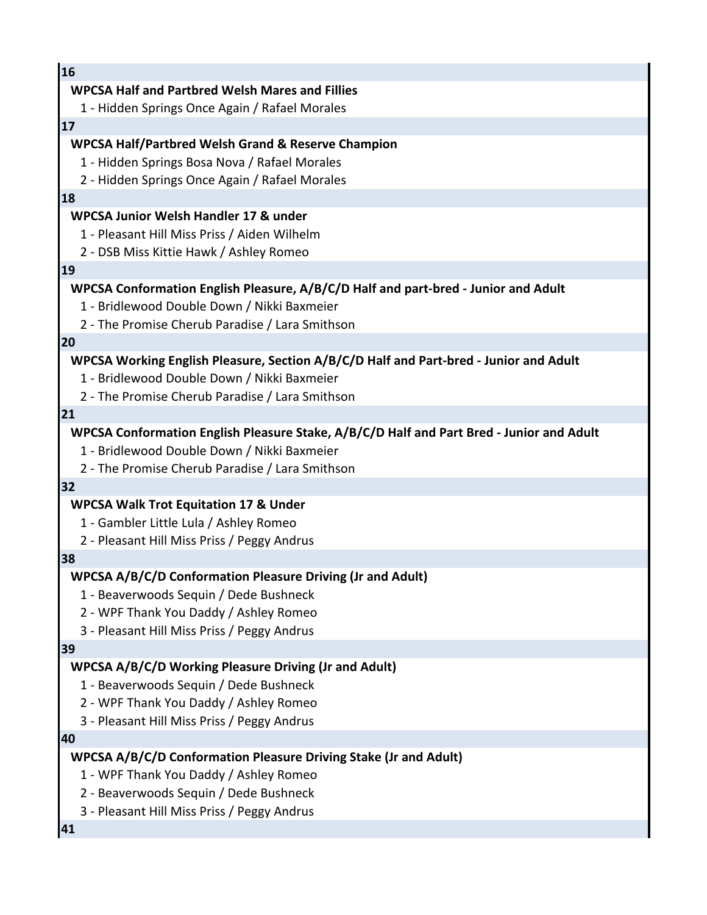| 16                                                                                                                                   |
|--------------------------------------------------------------------------------------------------------------------------------------|
| <b>WPCSA Half and Partbred Welsh Mares and Fillies</b>                                                                               |
| 1 - Hidden Springs Once Again / Rafael Morales                                                                                       |
| 17                                                                                                                                   |
| <b>WPCSA Half/Partbred Welsh Grand &amp; Reserve Champion</b>                                                                        |
| 1 - Hidden Springs Bosa Nova / Rafael Morales                                                                                        |
| 2 - Hidden Springs Once Again / Rafael Morales                                                                                       |
| 18                                                                                                                                   |
| WPCSA Junior Welsh Handler 17 & under                                                                                                |
| 1 - Pleasant Hill Miss Priss / Aiden Wilhelm                                                                                         |
| 2 - DSB Miss Kittie Hawk / Ashley Romeo                                                                                              |
| 19                                                                                                                                   |
| WPCSA Conformation English Pleasure, A/B/C/D Half and part-bred - Junior and Adult                                                   |
| 1 - Bridlewood Double Down / Nikki Baxmeier                                                                                          |
| 2 - The Promise Cherub Paradise / Lara Smithson                                                                                      |
| 20                                                                                                                                   |
| WPCSA Working English Pleasure, Section A/B/C/D Half and Part-bred - Junior and Adult<br>1 - Bridlewood Double Down / Nikki Baxmeier |
| 2 - The Promise Cherub Paradise / Lara Smithson                                                                                      |
| 21                                                                                                                                   |
| WPCSA Conformation English Pleasure Stake, A/B/C/D Half and Part Bred - Junior and Adult                                             |
| 1 - Bridlewood Double Down / Nikki Baxmeier                                                                                          |
| 2 - The Promise Cherub Paradise / Lara Smithson                                                                                      |
| 32                                                                                                                                   |
| <b>WPCSA Walk Trot Equitation 17 &amp; Under</b>                                                                                     |
| 1 - Gambler Little Lula / Ashley Romeo                                                                                               |
| 2 - Pleasant Hill Miss Priss / Peggy Andrus                                                                                          |
| 38                                                                                                                                   |
| <b>WPCSA A/B/C/D Conformation Pleasure Driving (Jr and Adult)</b>                                                                    |
| 1 - Beaverwoods Sequin / Dede Bushneck                                                                                               |
| 2 - WPF Thank You Daddy / Ashley Romeo                                                                                               |
| 3 - Pleasant Hill Miss Priss / Peggy Andrus                                                                                          |
| 39                                                                                                                                   |
| <b>WPCSA A/B/C/D Working Pleasure Driving (Jr and Adult)</b>                                                                         |
| 1 - Beaverwoods Sequin / Dede Bushneck                                                                                               |
| 2 - WPF Thank You Daddy / Ashley Romeo                                                                                               |
| 3 - Pleasant Hill Miss Priss / Peggy Andrus                                                                                          |
| 40                                                                                                                                   |
| WPCSA A/B/C/D Conformation Pleasure Driving Stake (Jr and Adult)                                                                     |
| 1 - WPF Thank You Daddy / Ashley Romeo                                                                                               |
| 2 - Beaverwoods Sequin / Dede Bushneck                                                                                               |
| 3 - Pleasant Hill Miss Priss / Peggy Andrus                                                                                          |
| 41                                                                                                                                   |
|                                                                                                                                      |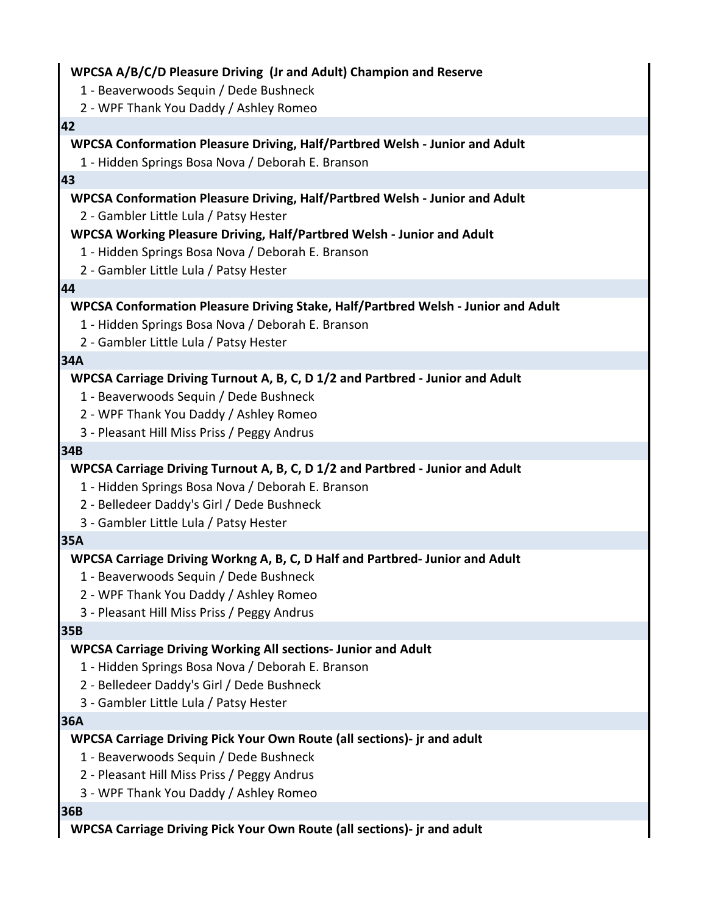### **WPCSA A/B/C/D Pleasure Driving (Jr and Adult) Champion and Reserve**

- 1 Beaverwoods Sequin / Dede Bushneck
- 2 WPF Thank You Daddy / Ashley Romeo

#### **42**

### **WPCSA Conformation Pleasure Driving, Half/Partbred Welsh - Junior and Adult**

1 - Hidden Springs Bosa Nova / Deborah E. Branson

#### **43**

### **WPCSA Conformation Pleasure Driving, Half/Partbred Welsh - Junior and Adult**

2 - Gambler Little Lula / Patsy Hester

### **WPCSA Working Pleasure Driving, Half/Partbred Welsh - Junior and Adult**

- 1 Hidden Springs Bosa Nova / Deborah E. Branson
- 2 Gambler Little Lula / Patsy Hester

#### **44**

# **WPCSA Conformation Pleasure Driving Stake, Half/Partbred Welsh - Junior and Adult**

- 1 Hidden Springs Bosa Nova / Deborah E. Branson
- 2 Gambler Little Lula / Patsy Hester

### **34A**

## **WPCSA Carriage Driving Turnout A, B, C, D 1/2 and Partbred - Junior and Adult**

- 1 Beaverwoods Sequin / Dede Bushneck
- 2 WPF Thank You Daddy / Ashley Romeo
- 3 Pleasant Hill Miss Priss / Peggy Andrus

### **34B**

# **WPCSA Carriage Driving Turnout A, B, C, D 1/2 and Partbred - Junior and Adult**

- 1 Hidden Springs Bosa Nova / Deborah E. Branson
- 2 Belledeer Daddy's Girl / Dede Bushneck
- 3 Gambler Little Lula / Patsy Hester

### **35A**

### **WPCSA Carriage Driving Workng A, B, C, D Half and Partbred- Junior and Adult**

- 1 Beaverwoods Sequin / Dede Bushneck
- 2 WPF Thank You Daddy / Ashley Romeo
- 3 Pleasant Hill Miss Priss / Peggy Andrus

#### **35B**

# **WPCSA Carriage Driving Working All sections- Junior and Adult**

- 1 Hidden Springs Bosa Nova / Deborah E. Branson
- 2 Belledeer Daddy's Girl / Dede Bushneck
- 3 Gambler Little Lula / Patsy Hester

#### **36A**

# **WPCSA Carriage Driving Pick Your Own Route (all sections)- jr and adult**

- 1 Beaverwoods Sequin / Dede Bushneck
- 2 Pleasant Hill Miss Priss / Peggy Andrus
- 3 WPF Thank You Daddy / Ashley Romeo

### **36B**

### **WPCSA Carriage Driving Pick Your Own Route (all sections)- jr and adult**